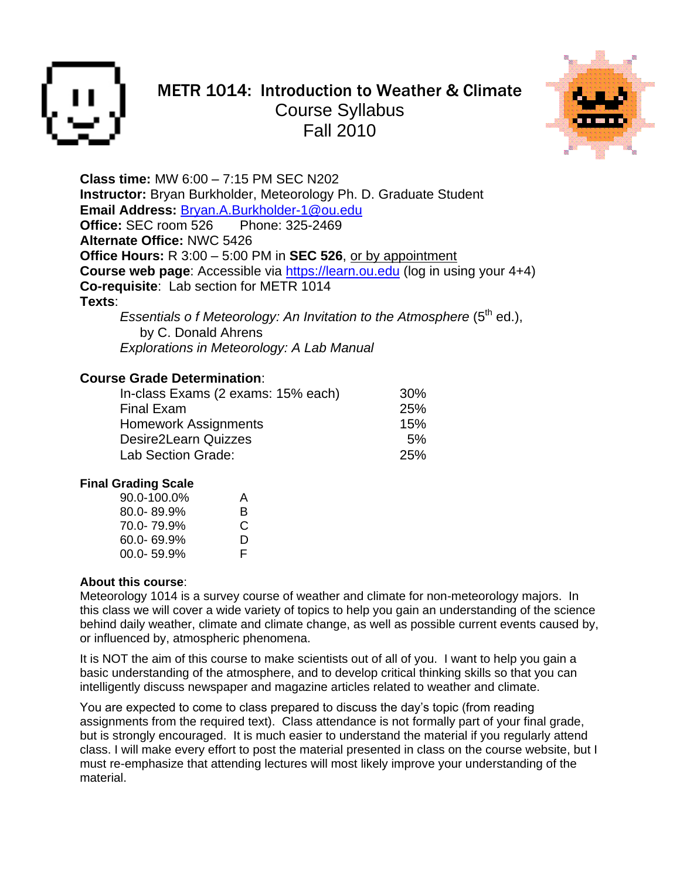

# METR 1014: Introduction to Weather & Climate Course Syllabus Fall 2010



**Class time:** MW 6:00 – 7:15 PM SEC N202 **Instructor:** Bryan Burkholder, Meteorology Ph. D. Graduate Student **Email Address:** [Bryan.A.Burkholder-1@ou.edu](mailto:Bryan.A.Burkholder-1@ou.edu) **Office:** SEC room 526 Phone: 325-2469 **Alternate Office:** NWC 5426 **Office Hours:** R 3:00 – 5:00 PM in **SEC 526**, or by appointment **Course web page:** Accessible via [https://learn.ou.edu](https://learn.ou.edu/) (log in using your 4+4) **Co-requisite**: Lab section for METR 1014 **Texts**:

*Essentials of Meteorology: An Invitation to the Atmosphere* (5<sup>th</sup> ed.), by C. Donald Ahrens *Explorations in Meteorology: A Lab Manual*

### **Course Grade Determination**:

| In-class Exams (2 exams: 15% each) | 30%        |
|------------------------------------|------------|
| <b>Final Exam</b>                  | <b>25%</b> |
| <b>Homework Assignments</b>        | 15%        |
| Desire2Learn Quizzes               | .5%        |
| Lab Section Grade:                 | <b>25%</b> |

#### **Final Grading Scale**

| 90.0-100.0%    | А  |
|----------------|----|
| $80.0 - 89.9%$ | B  |
| 70.0-79.9%     | C  |
| 60.0-69.9%     | D  |
| $00.0 - 59.9%$ | F. |

#### **About this course**:

Meteorology 1014 is a survey course of weather and climate for non-meteorology majors. In this class we will cover a wide variety of topics to help you gain an understanding of the science behind daily weather, climate and climate change, as well as possible current events caused by, or influenced by, atmospheric phenomena.

It is NOT the aim of this course to make scientists out of all of you. I want to help you gain a basic understanding of the atmosphere, and to develop critical thinking skills so that you can intelligently discuss newspaper and magazine articles related to weather and climate.

You are expected to come to class prepared to discuss the day's topic (from reading assignments from the required text). Class attendance is not formally part of your final grade, but is strongly encouraged. It is much easier to understand the material if you regularly attend class. I will make every effort to post the material presented in class on the course website, but I must re-emphasize that attending lectures will most likely improve your understanding of the material.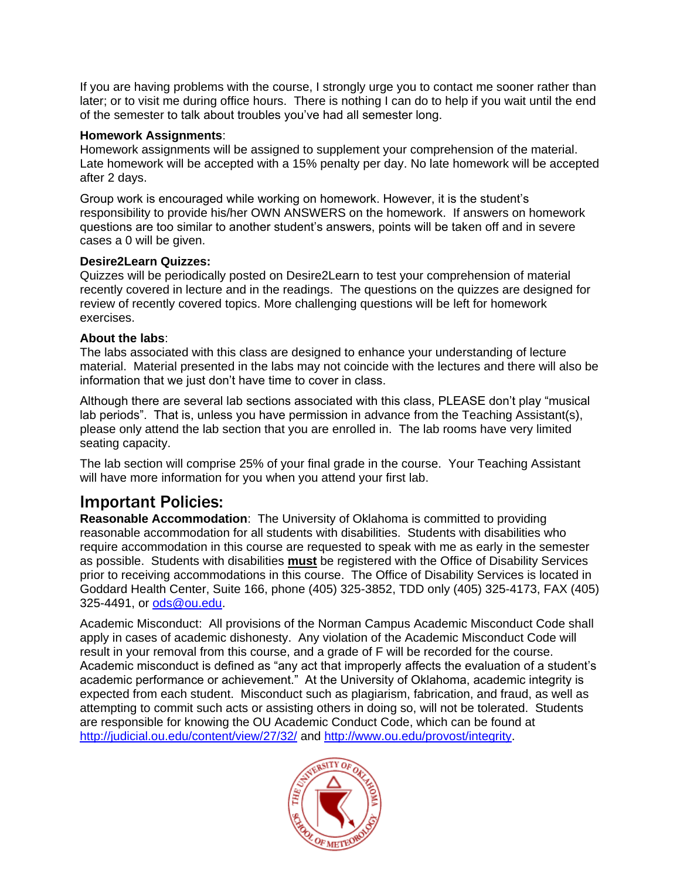If you are having problems with the course, I strongly urge you to contact me sooner rather than later; or to visit me during office hours. There is nothing I can do to help if you wait until the end of the semester to talk about troubles you've had all semester long.

#### **Homework Assignments**:

Homework assignments will be assigned to supplement your comprehension of the material. Late homework will be accepted with a 15% penalty per day. No late homework will be accepted after 2 days.

Group work is encouraged while working on homework. However, it is the student's responsibility to provide his/her OWN ANSWERS on the homework. If answers on homework questions are too similar to another student's answers, points will be taken off and in severe cases a 0 will be given.

#### **Desire2Learn Quizzes:**

Quizzes will be periodically posted on Desire2Learn to test your comprehension of material recently covered in lecture and in the readings. The questions on the quizzes are designed for review of recently covered topics. More challenging questions will be left for homework exercises.

#### **About the labs**:

The labs associated with this class are designed to enhance your understanding of lecture material. Material presented in the labs may not coincide with the lectures and there will also be information that we just don't have time to cover in class.

Although there are several lab sections associated with this class, PLEASE don't play "musical lab periods". That is, unless you have permission in advance from the Teaching Assistant(s), please only attend the lab section that you are enrolled in. The lab rooms have very limited seating capacity.

The lab section will comprise 25% of your final grade in the course. Your Teaching Assistant will have more information for you when you attend your first lab.

### Important Policies:

**Reasonable Accommodation**: The University of Oklahoma is committed to providing reasonable accommodation for all students with disabilities. Students with disabilities who require accommodation in this course are requested to speak with me as early in the semester as possible. Students with disabilities **must** be registered with the Office of Disability Services prior to receiving accommodations in this course. The Office of Disability Services is located in Goddard Health Center, Suite 166, phone (405) 325-3852, TDD only (405) 325-4173, FAX (405) 325-4491, or [ods@ou.edu.](mailto:ods@ou.edu)

Academic Misconduct: All provisions of the Norman Campus Academic Misconduct Code shall apply in cases of academic dishonesty. Any violation of the Academic Misconduct Code will result in your removal from this course, and a grade of F will be recorded for the course. Academic misconduct is defined as "any act that improperly affects the evaluation of a student's academic performance or achievement." At the University of Oklahoma, academic integrity is expected from each student. Misconduct such as plagiarism, fabrication, and fraud, as well as attempting to commit such acts or assisting others in doing so, will not be tolerated. Students are responsible for knowing the OU Academic Conduct Code, which can be found at <http://judicial.ou.edu/content/view/27/32/> and [http://www.ou.edu/provost/integrity.](http://www.ou.edu/provost/integrity)